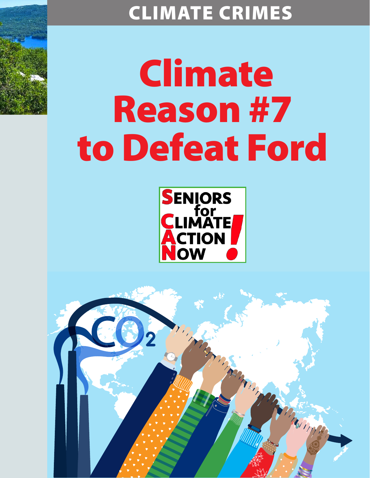# CLIMATE CRIMES

# Climate Reason #7 to Defeat Ford



Marian

Thompson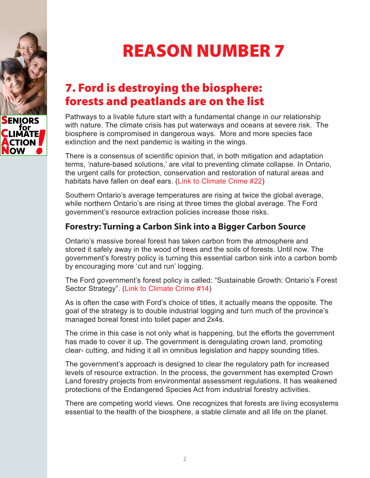

REASON NUMBER 7

## 7. Ford is destroying the biosphere: forests and peatlands are on the list

Pathways to a livable future start with a fundamental change in our relationship with nature. The climate crisis has put waterways and oceans at severe risk. The biosphere is compromised in dangerous ways. More and more species face extinction and the next pandemic is waiting in the wings.

There is a consensus of scientific opinion that, in both mitigation and adaptation terms, 'nature-based solutions,' are vital to preventing climate collapse. In Ontario, the urgent calls for protection, conservation and restoration of natural areas and habitats have fallen on deaf ears. [\(Link to Climate Crime #22\)](https://seniorsforclimateactionnow.org/wp-content/uploads/2022/04/SCAN-Climate-Crime-22-2022-03-29.pdf)

Southern Ontario's average temperatures are rising at twice the global average, while northern Ontario's are rising at three times the global average. The Ford government's resource extraction policies increase those risks.

#### **Forestry: Turning a Carbon Sink into a Bigger Carbon Source**

Ontario's massive boreal forest has taken carbon from the atmosphere and stored it safely away in the wood of trees and the soils of forests. Until now. The government's forestry policy is turning this essential carbon sink into a carbon bomb by encouraging more 'cut and run' logging.

The Ford government's forest policy is called: "Sustainable Growth: Ontario's Forest Sector Strategy". [\(Link to Climate Crime #14\)](https://seniorsforclimateactionnow.org/wp-content/uploads/2022/04/SCAN-Climate-Crime-14-2022-03-19.pdf)

As is often the case with Ford's choice of titles, it actually means the opposite. The goal of the strategy is to double industrial logging and turn much of the province's managed boreal forest into toilet paper and 2x4s.

The crime in this case is not only what is happening, but the efforts the government has made to cover it up. The government is deregulating crown land, promoting clear- cutting, and hiding it all in omnibus legislation and happy sounding titles.

The government's approach is designed to clear the regulatory path for increased levels of resource extraction. In the process, the government has exempted Crown Land forestry projects from environmental assessment regulations. It has weakened protections of the Endangered Species Act from industrial forestry activities.

There are competing world views. One recognizes that forests are living ecosystems essential to the health of the biosphere, a stable climate and all life on the planet.